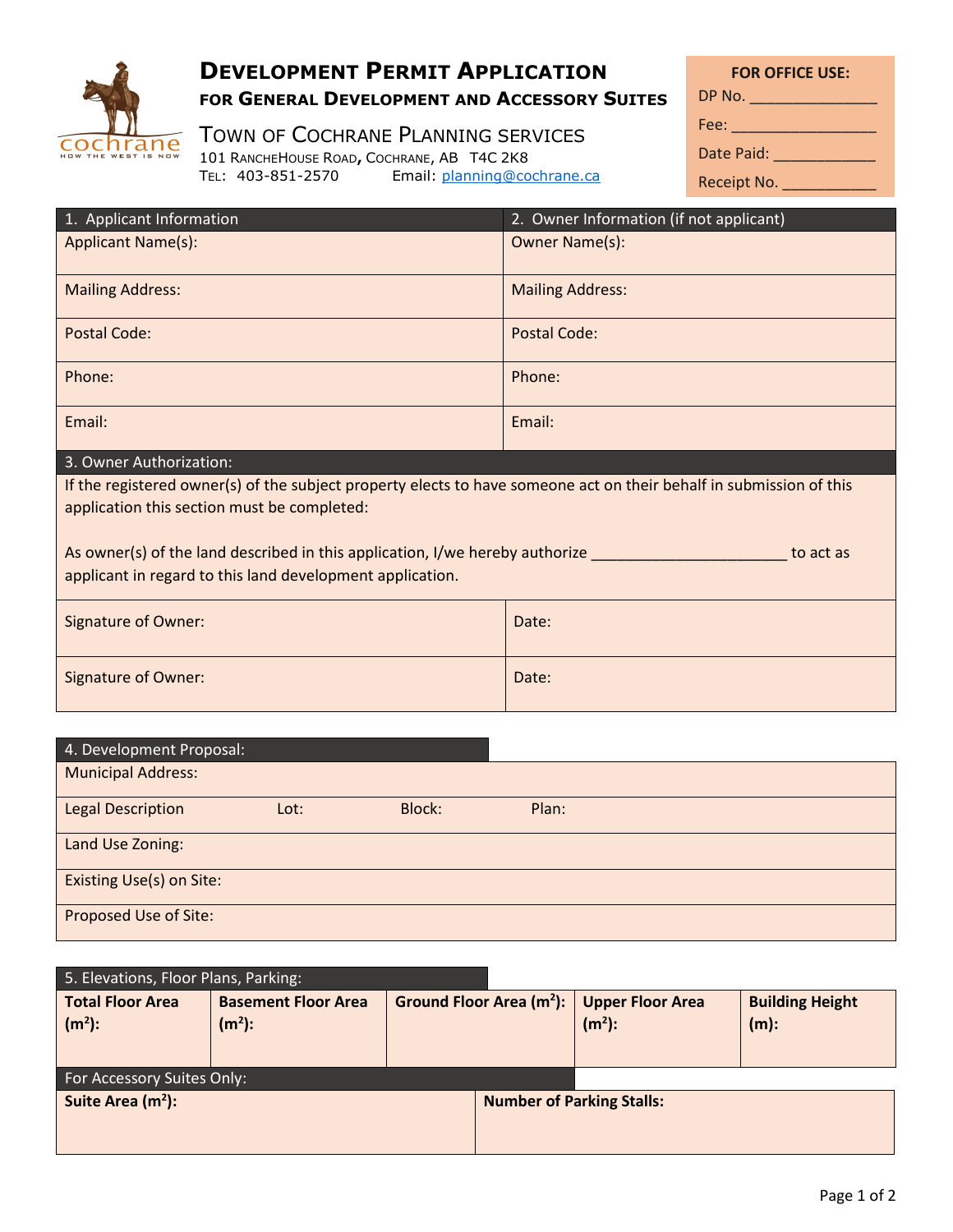

## **DEVELOPMENT PERMIT APPLICATION FOR GENERAL DEVELOPMENT AND ACCESSORY SUITES**

TOWN OF COCHRANE PLANNING SERVICES

101 RANCHEHOUSE ROAD, COCHRANE, AB T4C 2K8<br>TEL: 403-851-2570 Email: planning@co

**FOR OFFICE USE:** Fee: \_\_\_\_\_\_\_\_\_\_\_\_\_\_\_\_\_ DP No. \_\_\_\_\_\_\_\_\_\_\_\_\_\_\_

| Fee: |  |  |  |  |  |
|------|--|--|--|--|--|
|      |  |  |  |  |  |

Date Paid: \_\_\_\_\_\_\_\_\_\_\_\_\_\_\_

| Receipt No. |  |  |
|-------------|--|--|
|-------------|--|--|

| 1. Applicant Information                                                                                                                                           | 2. Owner Information (if not applicant) |  |  |  |  |
|--------------------------------------------------------------------------------------------------------------------------------------------------------------------|-----------------------------------------|--|--|--|--|
| <b>Applicant Name(s):</b>                                                                                                                                          | Owner Name(s):                          |  |  |  |  |
| <b>Mailing Address:</b>                                                                                                                                            | <b>Mailing Address:</b>                 |  |  |  |  |
| Postal Code:                                                                                                                                                       | Postal Code:                            |  |  |  |  |
| Phone:                                                                                                                                                             | Phone:                                  |  |  |  |  |
| Email:                                                                                                                                                             | Email:                                  |  |  |  |  |
| 3. Owner Authorization:                                                                                                                                            |                                         |  |  |  |  |
| If the registered owner(s) of the subject property elects to have someone act on their behalf in submission of this<br>application this section must be completed: |                                         |  |  |  |  |
| As owner(s) of the land described in this application, I/we hereby authorize<br>to act as<br>applicant in regard to this land development application.             |                                         |  |  |  |  |
| <b>Signature of Owner:</b>                                                                                                                                         | Date:                                   |  |  |  |  |
| <b>Signature of Owner:</b>                                                                                                                                         | Date:                                   |  |  |  |  |

Email: planning@cochrane.ca

| 4. Development Proposal:  |      |               |       |  |  |  |
|---------------------------|------|---------------|-------|--|--|--|
| <b>Municipal Address:</b> |      |               |       |  |  |  |
| <b>Legal Description</b>  | Lot: | <b>Block:</b> | Plan: |  |  |  |
| Land Use Zoning:          |      |               |       |  |  |  |
| Existing Use(s) on Site:  |      |               |       |  |  |  |
| Proposed Use of Site:     |      |               |       |  |  |  |

| 5. Elevations, Floor Plans, Parking: |                            |  |                                      |                         |                        |  |  |
|--------------------------------------|----------------------------|--|--------------------------------------|-------------------------|------------------------|--|--|
| <b>Total Floor Area</b>              | <b>Basement Floor Area</b> |  | Ground Floor Area (m <sup>2</sup> ): | <b>Upper Floor Area</b> | <b>Building Height</b> |  |  |
| $(m2)$ :                             | $(m2)$ :                   |  |                                      | $(m2)$ :                | $(m)$ :                |  |  |
|                                      |                            |  |                                      |                         |                        |  |  |
| For Accessory Suites Only:           |                            |  |                                      |                         |                        |  |  |
| Suite Area (m <sup>2</sup> ):        |                            |  | <b>Number of Parking Stalls:</b>     |                         |                        |  |  |
|                                      |                            |  |                                      |                         |                        |  |  |